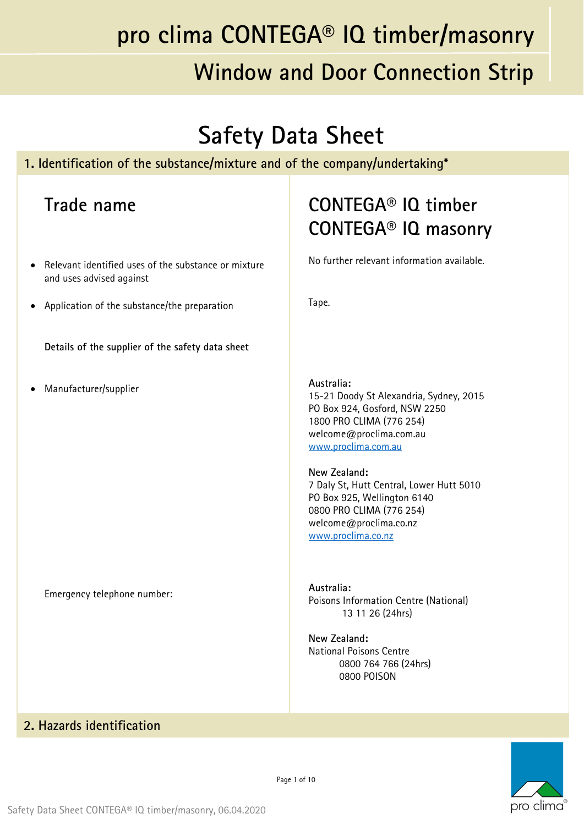### **Safety Data Sheet**

#### **1. Identification of the substance/mixture and of the company/undertaking\***

#### **Trade name**

- Relevant identified uses of the substance or mixture and uses advised against
- Application of the substance/the preparation

**Details of the supplier of the safety data sheet**

Manufacturer/supplier

Emergency telephone number:

### **CONTEGA® IQ timber CONTEGA® IQ masonry**

No further relevant information available.

Tape.

**Australia:**  15-21 Doody St Alexandria, Sydney, 2015 PO Box 924, Gosford, NSW 2250 1800 PRO CLIMA (776 254) welcome@proclima.com.au www.proclima.com.au

**New Zealand:**  7 Daly St, Hutt Central, Lower Hutt 5010 PO Box 925, Wellington 6140 0800 PRO CLIMA (776 254) welcome@proclima.co.nz www.proclima.co.nz

**Australia:**  Poisons Information Centre (National) 13 11 26 (24hrs)

**New Zealand:**  National Poisons Centre 0800 764 766 (24hrs) 0800 POISON

#### **2. Hazards identification**

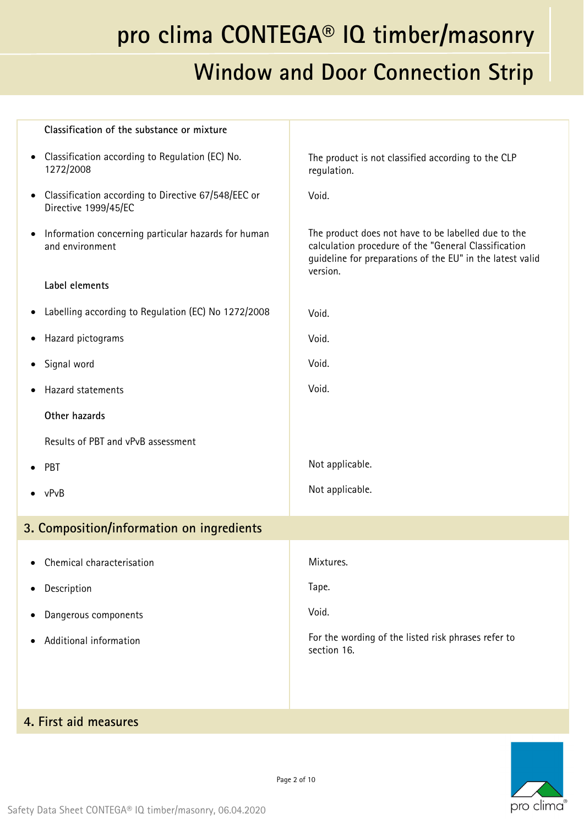### **Window and Door Connection Strip**

| Classification of the substance or mixture                                          |                                                                                                                                                                                      |
|-------------------------------------------------------------------------------------|--------------------------------------------------------------------------------------------------------------------------------------------------------------------------------------|
| Classification according to Regulation (EC) No.<br>$\bullet$<br>1272/2008           | The product is not classified according to the CLP<br>regulation.                                                                                                                    |
| Classification according to Directive 67/548/EEC or<br>Directive 1999/45/EC         | Void.                                                                                                                                                                                |
| Information concerning particular hazards for human<br>$\bullet$<br>and environment | The product does not have to be labelled due to the<br>calculation procedure of the "General Classification<br>guideline for preparations of the EU" in the latest valid<br>version. |
| Label elements                                                                      |                                                                                                                                                                                      |
| Labelling according to Regulation (EC) No 1272/2008                                 | Void.                                                                                                                                                                                |
| Hazard pictograms                                                                   | Void.                                                                                                                                                                                |
| Signal word                                                                         | Void.                                                                                                                                                                                |
| Hazard statements                                                                   | Void.                                                                                                                                                                                |
| Other hazards                                                                       |                                                                                                                                                                                      |
| Results of PBT and vPvB assessment                                                  |                                                                                                                                                                                      |
| PBT                                                                                 | Not applicable.                                                                                                                                                                      |
| vPvB                                                                                | Not applicable.                                                                                                                                                                      |
| 3. Composition/information on ingredients                                           |                                                                                                                                                                                      |
| Chemical characterisation                                                           | Mixtures.                                                                                                                                                                            |
| Description                                                                         | Tape.                                                                                                                                                                                |
| Dangerous components                                                                | Void.                                                                                                                                                                                |
| Additional information                                                              | For the wording of the listed risk phrases refer to<br>section 16.                                                                                                                   |
|                                                                                     |                                                                                                                                                                                      |
| 4. First aid measures                                                               |                                                                                                                                                                                      |

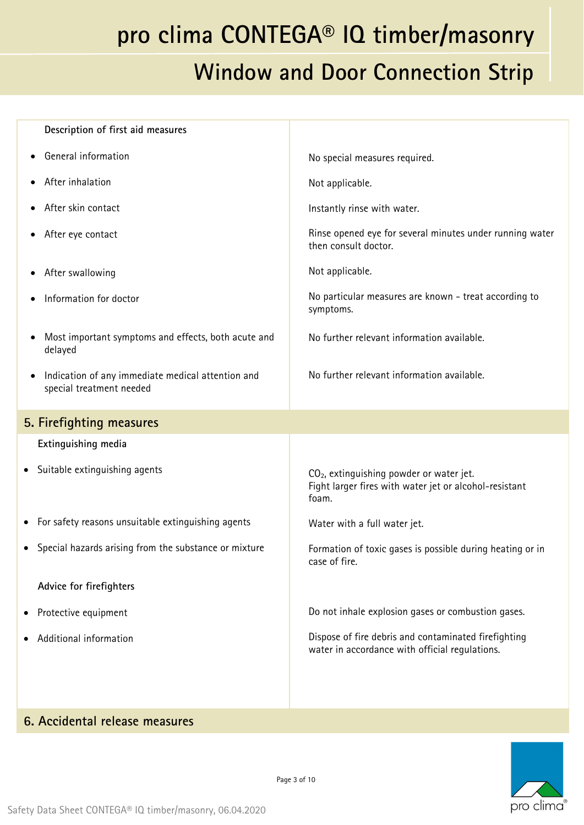| Description of first aid measures                                             |                                                                                                                         |
|-------------------------------------------------------------------------------|-------------------------------------------------------------------------------------------------------------------------|
| General information                                                           | No special measures required.                                                                                           |
| After inhalation                                                              | Not applicable.                                                                                                         |
| After skin contact                                                            | Instantly rinse with water.                                                                                             |
| After eye contact                                                             | Rinse opened eye for several minutes under running water<br>then consult doctor.                                        |
| After swallowing                                                              | Not applicable.                                                                                                         |
| Information for doctor                                                        | No particular measures are known - treat according to<br>symptoms.                                                      |
| Most important symptoms and effects, both acute and<br>delayed                | No further relevant information available.                                                                              |
| Indication of any immediate medical attention and<br>special treatment needed | No further relevant information available.                                                                              |
| 5. Firefighting measures                                                      |                                                                                                                         |
| Extinguishing media                                                           |                                                                                                                         |
| • Suitable extinguishing agents                                               | CO <sub>2</sub> , extinguishing powder or water jet.<br>Fight larger fires with water jet or alcohol-resistant<br>foam. |
| • For safety reasons unsuitable extinguishing agents                          | Water with a full water jet.                                                                                            |
| • Special hazards arising from the substance or mixture                       | Formation of toxic gases is possible during heating or in<br>case of fire.                                              |
| Advice for firefighters                                                       |                                                                                                                         |
| • Protective equipment                                                        | Do not inhale explosion gases or combustion gases.                                                                      |
| Additional information                                                        | Dispose of fire debris and contaminated firefighting<br>water in accordance with official regulations.                  |
|                                                                               |                                                                                                                         |
|                                                                               |                                                                                                                         |

#### **6. Accidental release measures**

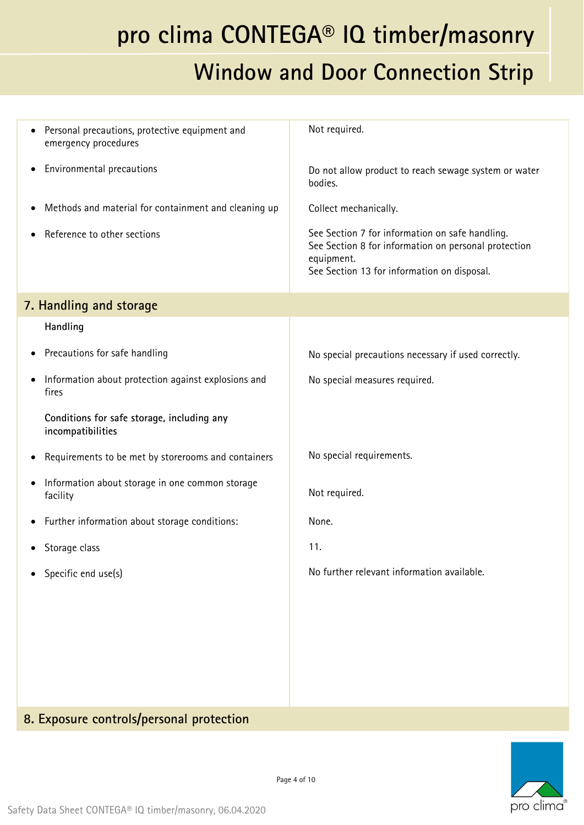### **Window and Door Connection Strip**

| Personal precautions, protective equipment and<br>emergency procedures   | Not required.                                                                                                                                                        |
|--------------------------------------------------------------------------|----------------------------------------------------------------------------------------------------------------------------------------------------------------------|
| Environmental precautions                                                | Do not allow product to reach sewage system or water<br>bodies.                                                                                                      |
| Methods and material for containment and cleaning up                     | Collect mechanically.                                                                                                                                                |
| Reference to other sections                                              | See Section 7 for information on safe handling.<br>See Section 8 for information on personal protection<br>equipment.<br>See Section 13 for information on disposal. |
| 7. Handling and storage                                                  |                                                                                                                                                                      |
| Handling                                                                 |                                                                                                                                                                      |
| Precautions for safe handling<br>$\bullet$                               | No special precautions necessary if used correctly.                                                                                                                  |
| Information about protection against explosions and<br>fires             | No special measures required.                                                                                                                                        |
| Conditions for safe storage, including any<br>incompatibilities          |                                                                                                                                                                      |
| Requirements to be met by storerooms and containers                      | No special requirements.                                                                                                                                             |
| Information about storage in one common storage<br>$\bullet$<br>facility | Not required.                                                                                                                                                        |
| Further information about storage conditions:                            | None.                                                                                                                                                                |
| Storage class                                                            | 11.                                                                                                                                                                  |
| • Specific end use(s)                                                    | No further relevant information available.                                                                                                                           |
|                                                                          |                                                                                                                                                                      |
|                                                                          |                                                                                                                                                                      |
|                                                                          |                                                                                                                                                                      |
|                                                                          |                                                                                                                                                                      |
|                                                                          |                                                                                                                                                                      |

#### **8. Exposure controls/personal protection**

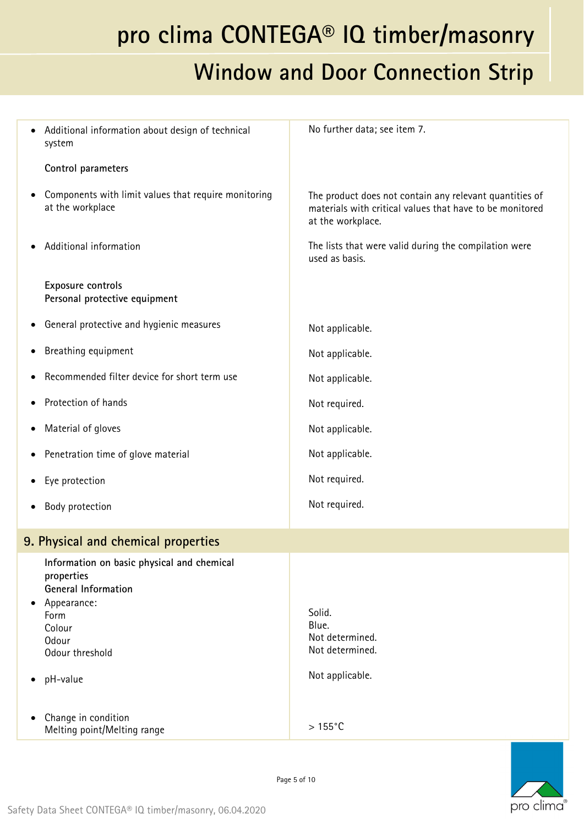### **Window and Door Connection Strip**

| Additional information about design of technical<br>system                                                                                                      | No further data; see item 7.                                                                                                             |
|-----------------------------------------------------------------------------------------------------------------------------------------------------------------|------------------------------------------------------------------------------------------------------------------------------------------|
| Control parameters                                                                                                                                              |                                                                                                                                          |
| Components with limit values that require monitoring<br>at the workplace                                                                                        | The product does not contain any relevant quantities of<br>materials with critical values that have to be monitored<br>at the workplace. |
| Additional information                                                                                                                                          | The lists that were valid during the compilation were<br>used as basis.                                                                  |
| Exposure controls<br>Personal protective equipment                                                                                                              |                                                                                                                                          |
| General protective and hygienic measures                                                                                                                        | Not applicable.                                                                                                                          |
| Breathing equipment                                                                                                                                             | Not applicable.                                                                                                                          |
| Recommended filter device for short term use                                                                                                                    | Not applicable.                                                                                                                          |
| Protection of hands                                                                                                                                             | Not required.                                                                                                                            |
| Material of gloves                                                                                                                                              | Not applicable.                                                                                                                          |
| Penetration time of glove material                                                                                                                              | Not applicable.                                                                                                                          |
| Eye protection                                                                                                                                                  | Not required.                                                                                                                            |
| Body protection                                                                                                                                                 | Not required.                                                                                                                            |
| 9. Physical and chemical properties                                                                                                                             |                                                                                                                                          |
| Information on basic physical and chemical<br>properties<br><b>General Information</b><br>Appearance:<br>Form<br>Colour<br>Odour<br>Odour threshold<br>pH-value | Solid.<br>Blue.<br>Not determined.<br>Not determined.<br>Not applicable.                                                                 |
| Change in condition<br>Melting point/Melting range                                                                                                              | $>155^{\circ}$ C                                                                                                                         |
|                                                                                                                                                                 |                                                                                                                                          |

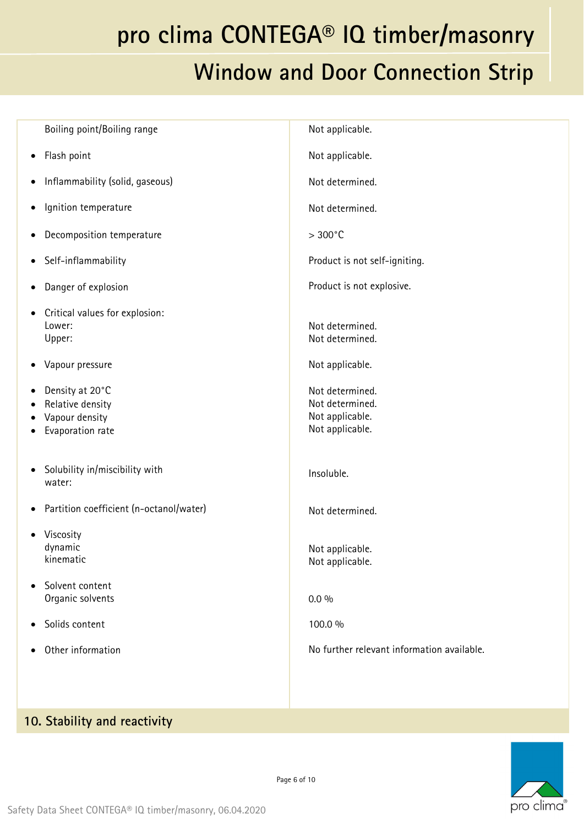| Boiling point/Boiling range                                                         | Not applicable.                                                          |
|-------------------------------------------------------------------------------------|--------------------------------------------------------------------------|
| Flash point<br>٠                                                                    | Not applicable.                                                          |
| Inflammability (solid, gaseous)                                                     | Not determined.                                                          |
| Ignition temperature<br>٠                                                           | Not determined.                                                          |
| Decomposition temperature<br>٠                                                      | $>300^{\circ}$ C                                                         |
| Self-inflammability                                                                 | Product is not self-igniting.                                            |
| Danger of explosion                                                                 | Product is not explosive.                                                |
| Critical values for explosion:<br>٠<br>Lower:<br>Upper:                             | Not determined.<br>Not determined.                                       |
| Vapour pressure<br>٠                                                                | Not applicable.                                                          |
| Density at 20°C<br>٠<br>Relative density<br>٠<br>Vapour density<br>Evaporation rate | Not determined.<br>Not determined.<br>Not applicable.<br>Not applicable. |
| Solubility in/miscibility with<br>٠<br>water:                                       | Insoluble.                                                               |
| Partition coefficient (n-octanol/water)<br>٠                                        | Not determined.                                                          |
| Viscosity<br>dynamic<br>kinematic                                                   | Not applicable.<br>Not applicable.                                       |
| Solvent content<br>$\bullet$<br>Organic solvents                                    | $0.0\%$                                                                  |
| Solids content<br>٠                                                                 | 100.0 %                                                                  |
| Other information                                                                   | No further relevant information available.                               |
|                                                                                     |                                                                          |

#### **10. Stability and reactivity**

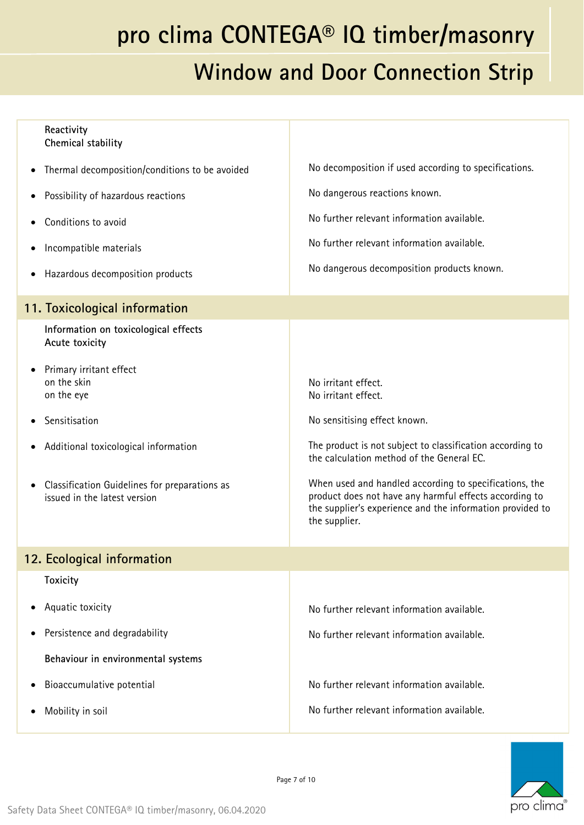|           | Reactivity<br>Chemical stability                                              |                                                                                                                                                                                                |
|-----------|-------------------------------------------------------------------------------|------------------------------------------------------------------------------------------------------------------------------------------------------------------------------------------------|
|           | Thermal decomposition/conditions to be avoided                                | No decomposition if used according to specifications.                                                                                                                                          |
|           | Possibility of hazardous reactions                                            | No dangerous reactions known.                                                                                                                                                                  |
|           | Conditions to avoid                                                           | No further relevant information available.                                                                                                                                                     |
| ٠         | Incompatible materials                                                        | No further relevant information available.                                                                                                                                                     |
| ٠         | Hazardous decomposition products                                              | No dangerous decomposition products known.                                                                                                                                                     |
|           | 11. Toxicological information                                                 |                                                                                                                                                                                                |
|           | Information on toxicological effects<br>Acute toxicity                        |                                                                                                                                                                                                |
|           | Primary irritant effect<br>on the skin                                        |                                                                                                                                                                                                |
|           | on the eye                                                                    | No irritant effect.<br>No irritant effect.                                                                                                                                                     |
|           | Sensitisation                                                                 | No sensitising effect known.                                                                                                                                                                   |
| ٠         | Additional toxicological information                                          | The product is not subject to classification according to<br>the calculation method of the General EC.                                                                                         |
| $\bullet$ | Classification Guidelines for preparations as<br>issued in the latest version | When used and handled according to specifications, the<br>product does not have any harmful effects according to<br>the supplier's experience and the information provided to<br>the supplier. |
|           | 12. Ecological information                                                    |                                                                                                                                                                                                |
|           | <b>Toxicity</b>                                                               |                                                                                                                                                                                                |
| $\bullet$ | Aquatic toxicity                                                              | No further relevant information available.                                                                                                                                                     |
| ٠         | Persistence and degradability                                                 | No further relevant information available.                                                                                                                                                     |
|           | Behaviour in environmental systems                                            |                                                                                                                                                                                                |
|           | Bioaccumulative potential                                                     | No further relevant information available.                                                                                                                                                     |
|           | Mobility in soil                                                              | No further relevant information available.                                                                                                                                                     |
|           |                                                                               |                                                                                                                                                                                                |

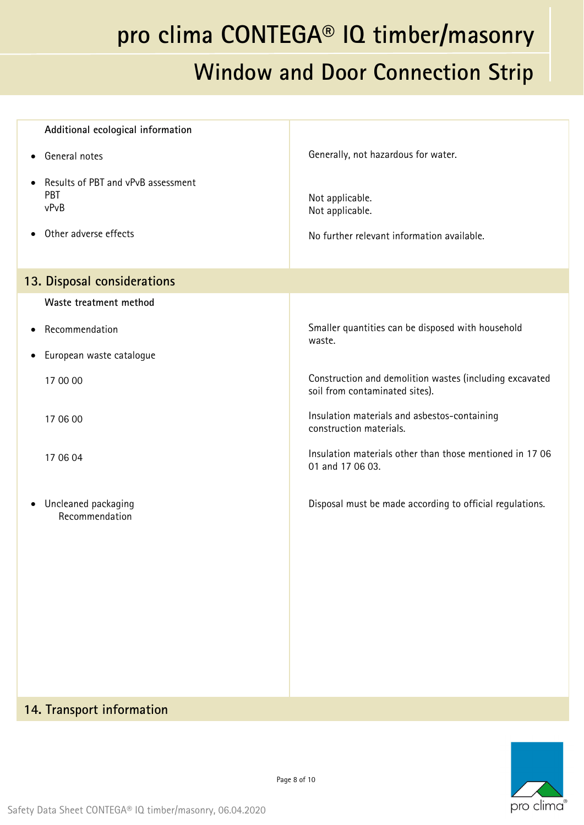| Additional ecological information                 |                                                                                           |
|---------------------------------------------------|-------------------------------------------------------------------------------------------|
| • General notes                                   | Generally, not hazardous for water.                                                       |
| Results of PBT and vPvB assessment<br>PBT<br>vPvB | Not applicable.<br>Not applicable.                                                        |
| Other adverse effects                             | No further relevant information available.                                                |
| 13. Disposal considerations                       |                                                                                           |
| Waste treatment method                            |                                                                                           |
| Recommendation                                    | Smaller quantities can be disposed with household<br>waste.                               |
| European waste catalogue                          |                                                                                           |
| 17 00 00                                          | Construction and demolition wastes (including excavated<br>soil from contaminated sites). |
| 17 06 00                                          | Insulation materials and asbestos-containing<br>construction materials.                   |
| 17 06 04                                          | Insulation materials other than those mentioned in 1706<br>01 and 17 06 03.               |
| • Uncleaned packaging<br>Recommendation           | Disposal must be made according to official regulations.                                  |
|                                                   |                                                                                           |
|                                                   |                                                                                           |
|                                                   |                                                                                           |

#### **14. Transport information**

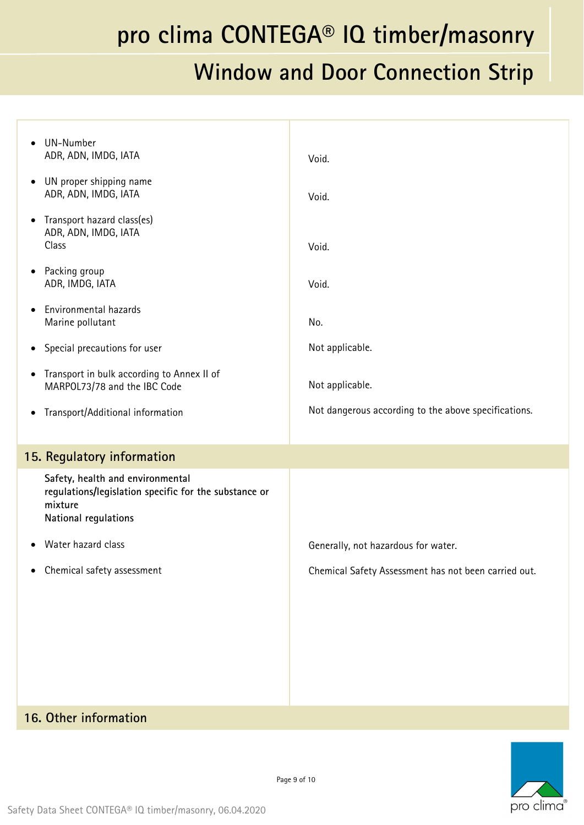### **Window and Door Connection Strip**

| UN-Number<br>$\bullet$<br>ADR, ADN, IMDG, IATA                                                                               | Void.                                                |
|------------------------------------------------------------------------------------------------------------------------------|------------------------------------------------------|
| UN proper shipping name<br>$\bullet$<br>ADR, ADN, IMDG, IATA                                                                 | Void.                                                |
| Transport hazard class(es)<br>$\bullet$<br>ADR, ADN, IMDG, IATA<br>Class                                                     | Void.                                                |
| Packing group<br>$\bullet$<br>ADR, IMDG, IATA                                                                                | Void.                                                |
| Environmental hazards<br>$\bullet$<br>Marine pollutant                                                                       | No.                                                  |
| Special precautions for user<br>$\bullet$                                                                                    | Not applicable.                                      |
| Transport in bulk according to Annex II of<br>$\bullet$<br>MARPOL73/78 and the IBC Code                                      | Not applicable.                                      |
| Transport/Additional information<br>$\bullet$                                                                                | Not dangerous according to the above specifications. |
| 15. Regulatory information                                                                                                   |                                                      |
| Safety, health and environmental<br>regulations/legislation specific for the substance or<br>mixture<br>National regulations |                                                      |
| Water hazard class<br>$\bullet$                                                                                              | Generally, not hazardous for water.                  |
| Chemical safety assessment<br>٠                                                                                              | Chemical Safety Assessment has not been carried out. |
|                                                                                                                              |                                                      |
|                                                                                                                              |                                                      |
|                                                                                                                              |                                                      |
|                                                                                                                              |                                                      |
|                                                                                                                              |                                                      |

#### **16. Other information**